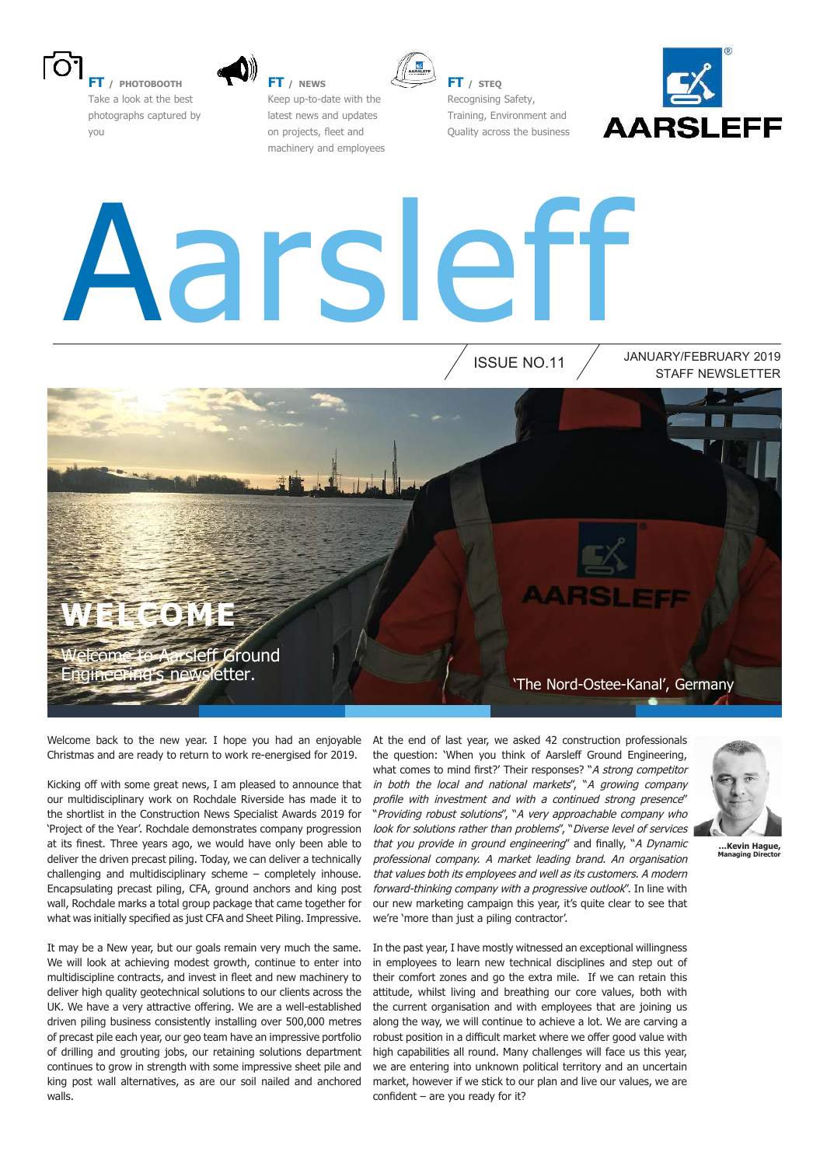

**FT / PHOTOBOOTH** Take a look at the best photographs captured by you



**FT / NEWS** Keep up-to-date with the latest news and updates on projects, fleet and machinery and employees



**FT / STEQ** Recognising Safety, Training, Environment and Quality across the business



# Aarsleff

ISSUE NO.11

STAFF NEWSLETTER JANUARY/FEBRUARY 2019

**WE** 

*<u>Relegione to Aarsleff Ground</u>* Engineering's newsletter.

Welcome back to the new year. I hope you had an enjoyable Christmas and are ready to return to work re-energised for 2019.

Kicking off with some great news, I am pleased to announce that our multidisciplinary work on Rochdale Riverside has made it to the shortlist in the Construction News Specialist Awards 2019 for 'Project of the Year'. Rochdale demonstrates company progression at its finest. Three years ago, we would have only been able to deliver the driven precast piling. Today, we can deliver a technically challenging and multidisciplinary scheme – completely inhouse. Encapsulating precast piling, CFA, ground anchors and king post wall, Rochdale marks a total group package that came together for what was initially specified as just CFA and Sheet Piling. Impressive.

It may be a New year, but our goals remain very much the same. We will look at achieving modest growth, continue to enter into multidiscipline contracts, and invest in fleet and new machinery to deliver high quality geotechnical solutions to our clients across the UK. We have a very attractive offering. We are a well-established driven piling business consistently installing over 500,000 metres of precast pile each year, our geo team have an impressive portfolio of drilling and grouting jobs, our retaining solutions department continues to grow in strength with some impressive sheet pile and king post wall alternatives, as are our soil nailed and anchored walls.

At the end of last year, we asked 42 construction professionals the question: 'When you think of Aarsleff Ground Engineering, what comes to mind first?' Their responses? "A strong competitor in both the local and national markets", "A growing company profile with investment and with a continued strong presence" "Providing robust solutions", "A very approachable company who look for solutions rather than problems", "Diverse level of services that you provide in ground engineering" and finally, "A Dynamic professional company. A market leading brand. An organisation that values both its employees and well as its customers. A modern forward-thinking company with a progressive outlook". In line with our new marketing campaign this year, it's quite clear to see that we're 'more than just a piling contractor'.

'The Nord-Ostee-Kanal', Germany



**…Kevin Hague, Managing Director** 

In the past year, I have mostly witnessed an exceptional willingness in employees to learn new technical disciplines and step out of their comfort zones and go the extra mile. If we can retain this attitude, whilst living and breathing our core values, both with the current organisation and with employees that are joining us along the way, we will continue to achieve a lot. We are carving a robust position in a difficult market where we offer good value with high capabilities all round. Many challenges will face us this year, we are entering into unknown political territory and an uncertain market, however if we stick to our plan and live our values, we are  $confident - are you ready for it?$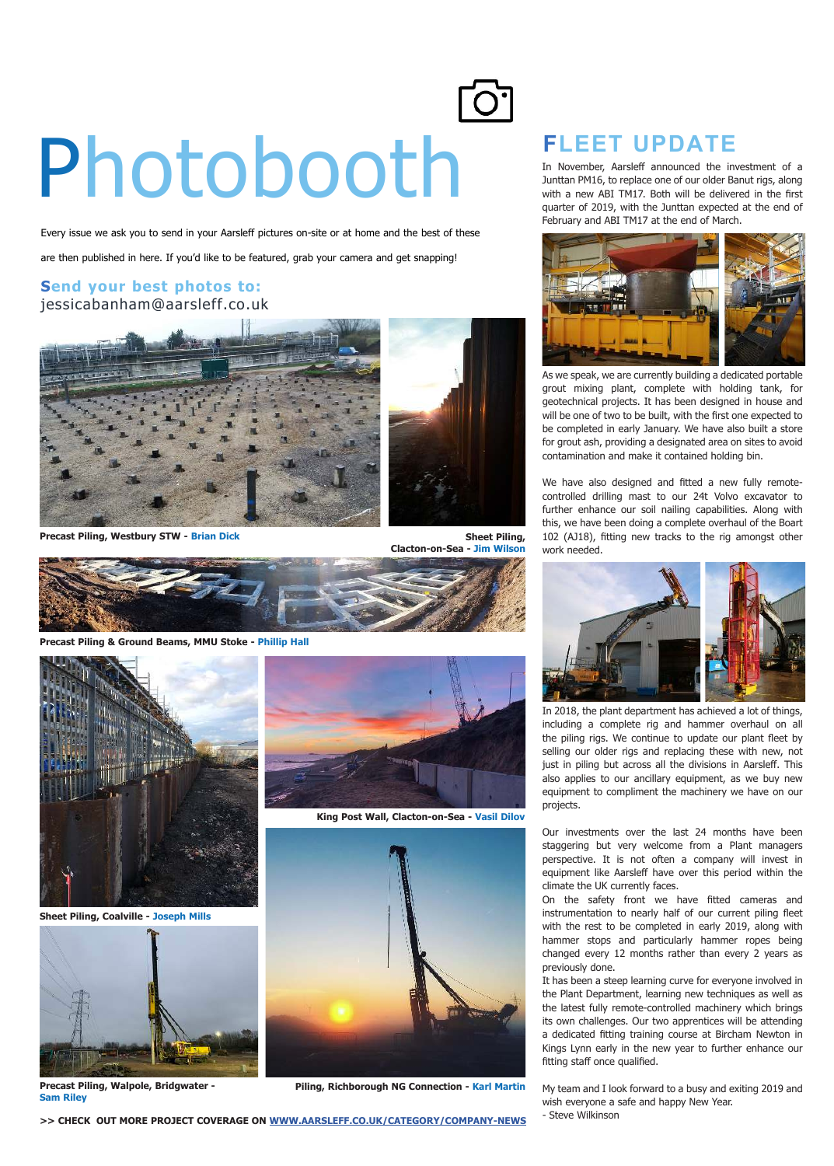## **Photobooth Control Control Control Control Control Control Control Control Control Control Control Control Control Control Control Control Control Control Control Control Control Control Control Control Control Control Co**

Every issue we ask you to send in your Aarsleff pictures on-site or at home and the best of these

are then published in here. If you'd like to be featured, grab your camera and get snapping!

#### **Send your best photos to:** jessicabanham@aarsleff.co.uk



**Precast Piling, Westbury STW - Brian Dick**



**Precast Piling & Ground Beams, MMU Stoke - Phillip Hall**



**Sheet Piling, Coalville - Joseph Mills**



**Precast Piling, Walpole, Bridgwater - Sam Riley**



**King Post Wall, Clacton-on-Sea - Vasil Dilov**



**Piling, Richborough NG Connection - Karl Martin**



In November, Aarsleff announced the investment of a Junttan PM16, to replace one of our older Banut rigs, along with a new ABI TM17. Both will be delivered in the first quarter of 2019, with the Junttan expected at the end of February and ABI TM17 at the end of March.



As we speak, we are currently building a dedicated portable grout mixing plant, complete with holding tank, for geotechnical projects. It has been designed in house and will be one of two to be built, with the first one expected to be completed in early January. We have also built a store for grout ash, providing a designated area on sites to avoid contamination and make it contained holding bin.

We have also designed and fitted a new fully remotecontrolled drilling mast to our 24t Volvo excavator to further enhance our soil nailing capabilities. Along with this, we have been doing a complete overhaul of the Boart 102 (AJ18), fitting new tracks to the rig amongst other work needed.



In 2018, the plant department has achieved a lot of things, including a complete rig and hammer overhaul on all the piling rigs. We continue to update our plant fleet by selling our older rigs and replacing these with new, not just in piling but across all the divisions in Aarsleff. This also applies to our ancillary equipment, as we buy new equipment to compliment the machinery we have on our projects.

Our investments over the last 24 months have been staggering but very welcome from a Plant managers perspective. It is not often a company will invest in equipment like Aarsleff have over this period within the climate the UK currently faces.

On the safety front we have fitted cameras and instrumentation to nearly half of our current piling fleet with the rest to be completed in early 2019, along with hammer stops and particularly hammer ropes being changed every 12 months rather than every 2 years as previously done.

It has been a steep learning curve for everyone involved in the Plant Department, learning new techniques as well as the latest fully remote-controlled machinery which brings its own challenges. Our two apprentices will be attending a dedicated fitting training course at Bircham Newton in Kings Lynn early in the new year to further enhance our fitting staff once qualified.

My team and I look forward to a busy and exiting 2019 and wish everyone a safe and happy New Year. - Steve Wilkinson

**>> CHECK OUT MORE PROJECT COVERAGE ON WWW.AARSLEFF.CO.UK/CATEGORY/COMPANY-NEWS**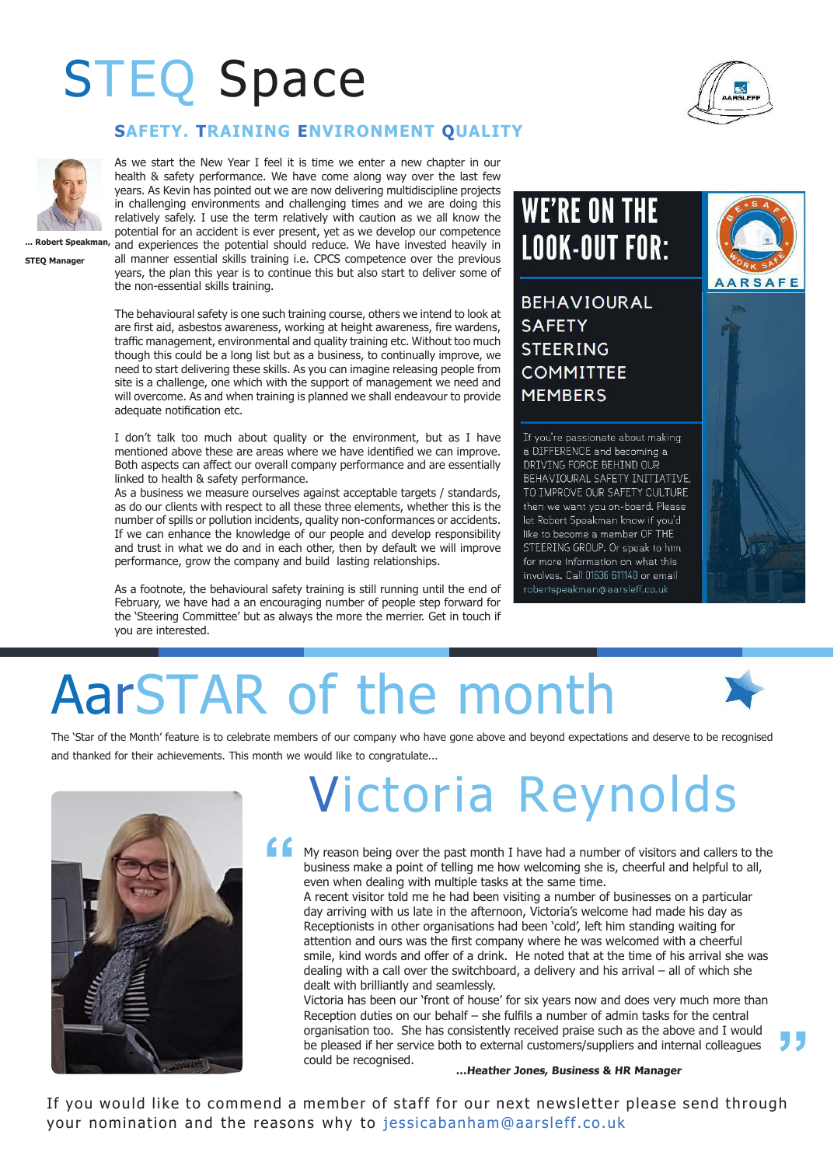### STEQ Space



#### **SAFETY. TRAINING ENVIRONMENT QUALITY**

As we start the New Year I feel it is time we enter a new chapter in our health & safety performance. We have come along way over the last few years. As Kevin has pointed out we are now delivering multidiscipline projects in challenging environments and challenging times and we are doing this relatively safely. I use the term relatively with caution as we all know the potential for an accident is ever present, yet as we develop our competence

**STEQ Manager**

**... Robert Speakman,**  and experiences the potential should reduce. We have invested heavily in all manner essential skills training i.e. CPCS competence over the previous years, the plan this year is to continue this but also start to deliver some of the non-essential skills training.

> The behavioural safety is one such training course, others we intend to look at are first aid, asbestos awareness, working at height awareness, fire wardens, traffic management, environmental and quality training etc. Without too much though this could be a long list but as a business, to continually improve, we need to start delivering these skills. As you can imagine releasing people from site is a challenge, one which with the support of management we need and will overcome. As and when training is planned we shall endeavour to provide adequate notification etc.

> I don't talk too much about quality or the environment, but as I have mentioned above these are areas where we have identified we can improve. Both aspects can afect our overall company performance and are essentially linked to health & safety performance.

> As a business we measure ourselves against acceptable targets / standards, as do our clients with respect to all these three elements, whether this is the number of spills or pollution incidents, quality non-conformances or accidents. If we can enhance the knowledge of our people and develop responsibility and trust in what we do and in each other, then by default we will improve performance, grow the company and build lasting relationships.

> As a footnote, the behavioural safety training is still running until the end of February, we have had a an encouraging number of people step forward for the 'Steering Committee' but as always the more the merrier. Get in touch if you are interested.

### **WE'RE ON THE LOOK-OUT FOR:**

**BEHAVIOURAL SAFETY STEERING COMMITTEE MEMBERS** 

If you're passionate about making a DIFFERENCE and becoming a DRIVING FORCE BEHIND OUR BEHAVIOURAL SAFETY INITIATIVE, TO IMPROVE OUR SAFETY CULTURE then we want you on-board. Please let Robert Speakman know if you'd like to become a member OF THE STEERING GROUP. Or speak to him for more information on what this involves. Call 01636 611140 or email robertspeakman@aarsleff.co.uk



### AarSTAR of the month

The 'Star of the Month' feature is to celebrate members of our company who have gone above and beyond expectations and deserve to be recognised and thanked for their achievements. This month we would like to congratulate...



### Victoria Reynolds

**"** My reason being over the past month I have had a number of visitors and callers to the business make a point of telling me how welcoming she is, cheerful and helpful to all, even when dealing with multiple tasks at the same time.

A recent visitor told me he had been visiting a number of businesses on a particular day arriving with us late in the afternoon, Victoria's welcome had made his day as Receptionists in other organisations had been 'cold', left him standing waiting for attention and ours was the first company where he was welcomed with a cheerful smile, kind words and offer of a drink. He noted that at the time of his arrival she was dealing with a call over the switchboard, a delivery and his arrival – all of which she dealt with brilliantly and seamlessly.

Victoria has been our 'front of house' for six years now and does very much more than Reception duties on our behalf  $-$  she fulfils a number of admin tasks for the central organisation too. She has consistently received praise such as the above and I would be pleased if her service both to external customers/suppliers and internal colleagues could be recognised.



#### **…Heather Jones, Business & HR Manager**

If you would like to commend a member of staff for our next newsletter please send through your nomination and the reasons why to jessicabanham@aarsleff.co.uk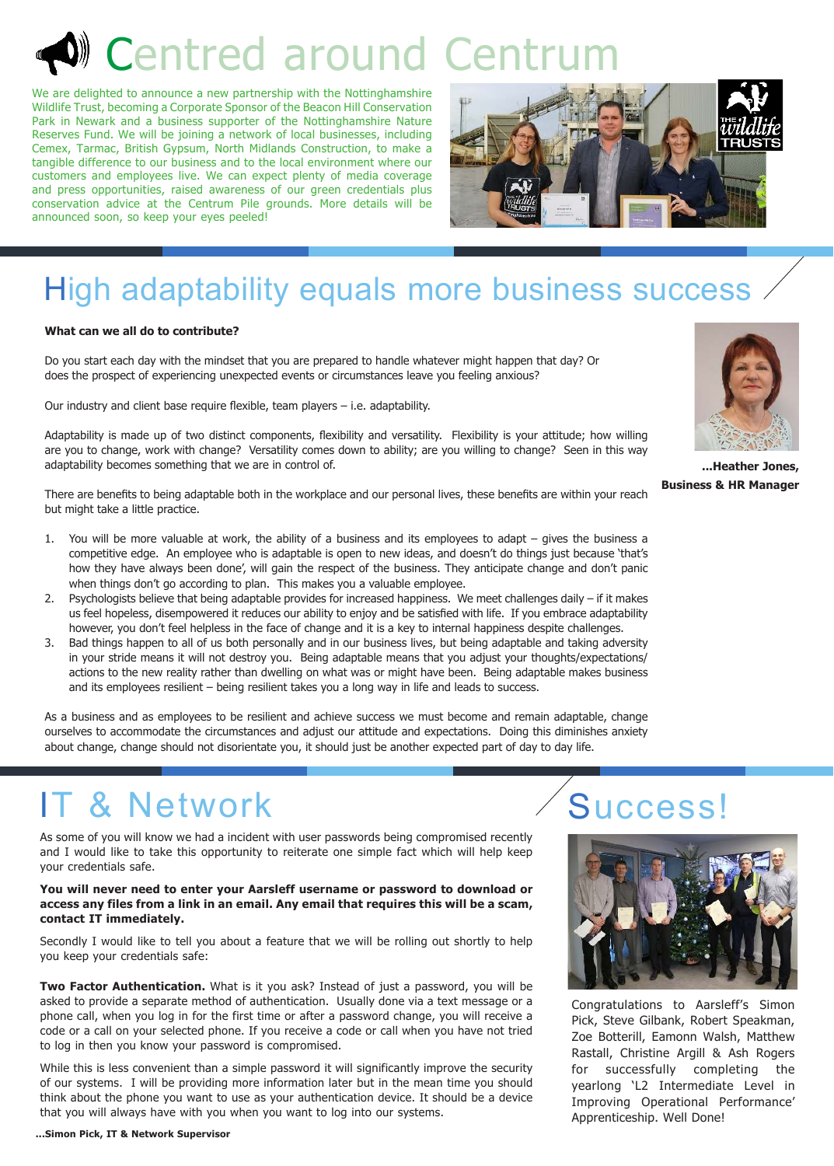### Centred around Centru

We are delighted to announce a new partnership with the Nottinghamshire Wildlife Trust, becoming a Corporate Sponsor of the Beacon Hill Conservation Park in Newark and a business supporter of the Nottinghamshire Nature Reserves Fund. We will be joining a network of local businesses, including Cemex, Tarmac, British Gypsum, North Midlands Construction, to make a tangible difference to our business and to the local environment where our customers and employees live. We can expect plenty of media coverage and press opportunities, raised awareness of our green credentials plus conservation advice at the Centrum Pile grounds. More details will be announced soon, so keep your eyes peeled!



### High adaptability equals more business success

#### **What can we all do to contribute?**

Do you start each day with the mindset that you are prepared to handle whatever might happen that day? Or does the prospect of experiencing unexpected events or circumstances leave you feeling anxious?

Our industry and client base require flexible, team players  $-$  i.e. adaptability.

Adaptability is made up of two distinct components, flexibility and versatility. Flexibility is your attitude; how willing are you to change, work with change? Versatility comes down to ability; are you willing to change? Seen in this way adaptability becomes something that we are in control of.

There are benefits to being adaptable both in the workplace and our personal lives, these benefits are within your reach but might take a little practice.

- 1. You will be more valuable at work, the ability of a business and its employees to adapt gives the business a competitive edge. An employee who is adaptable is open to new ideas, and doesn't do things just because 'that's how they have always been done', will gain the respect of the business. They anticipate change and don't panic when things don't go according to plan. This makes you a valuable employee.
- 2. Psychologists believe that being adaptable provides for increased happiness. We meet challenges daily if it makes us feel hopeless, disempowered it reduces our ability to enjoy and be satisfied with life. If you embrace adaptability however, you don't feel helpless in the face of change and it is a key to internal happiness despite challenges.
- 3. Bad things happen to all of us both personally and in our business lives, but being adaptable and taking adversity in your stride means it will not destroy you. Being adaptable means that you adjust your thoughts/expectations/ actions to the new reality rather than dwelling on what was or might have been. Being adaptable makes business and its employees resilient – being resilient takes you a long way in life and leads to success.

As a business and as employees to be resilient and achieve success we must become and remain adaptable, change ourselves to accommodate the circumstances and adjust our attitude and expectations. Doing this diminishes anxiety about change, change should not disorientate you, it should just be another expected part of day to day life.

### IT & Network Success!

As some of you will know we had a incident with user passwords being compromised recently and I would like to take this opportunity to reiterate one simple fact which will help keep your credentials safe.

#### **You will never need to enter your Aarsleff username or password to download or access any files from a link in an email. Any email that requires this will be a scam, contact IT immediately.**

Secondly I would like to tell you about a feature that we will be rolling out shortly to help you keep your credentials safe:

**Two Factor Authentication.** What is it you ask? Instead of just a password, you will be asked to provide a separate method of authentication. Usually done via a text message or a phone call, when you log in for the first time or after a password change, you will receive a code or a call on your selected phone. If you receive a code or call when you have not tried to log in then you know your password is compromised.

While this is less convenient than a simple password it will significantly improve the security of our systems. I will be providing more information later but in the mean time you should think about the phone you want to use as your authentication device. It should be a device that you will always have with you when you want to log into our systems.



Congratulations to Aarsleff's Simon Pick, Steve Gilbank, Robert Speakman, Zoe Botterill, Eamonn Walsh, Matthew Rastall, Christine Argill & Ash Rogers for successfully completing the yearlong 'L2 Intermediate Level in Improving Operational Performance' Apprenticeship. Well Done!



**...Heather Jones, Business & HR Manager**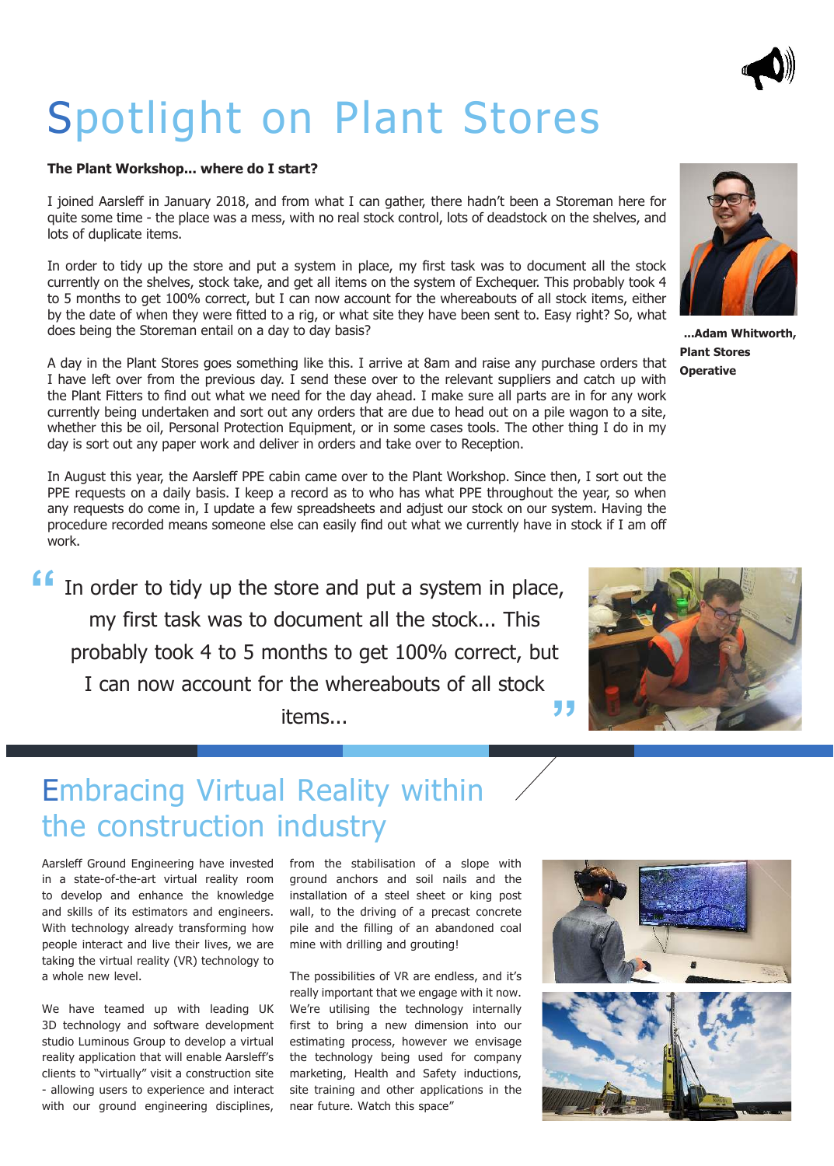### Spotlight on Plant Stores

#### **The Plant Workshop... where do I start?**

I joined Aarslef in January 2018, and from what I can gather, there hadn't been a Storeman here for quite some time - the place was a mess, with no real stock control, lots of deadstock on the shelves, and lots of duplicate items.

In order to tidy up the store and put a system in place, my first task was to document all the stock currently on the shelves, stock take, and get all items on the system of Exchequer. This probably took 4 to 5 months to get 100% correct, but I can now account for the whereabouts of all stock items, either by the date of when they were fitted to a rig, or what site they have been sent to. Easy right? So, what does being the Storeman entail on a day to day basis?

A day in the Plant Stores goes something like this. I arrive at 8am and raise any purchase orders that I have left over from the previous day. I send these over to the relevant suppliers and catch up with the Plant Fitters to find out what we need for the day ahead. I make sure all parts are in for any work currently being undertaken and sort out any orders that are due to head out on a pile wagon to a site, whether this be oil, Personal Protection Equipment, or in some cases tools. The other thing I do in my day is sort out any paper work and deliver in orders and take over to Reception.

In August this year, the Aarsleff PPE cabin came over to the Plant Workshop. Since then, I sort out the PPE requests on a daily basis. I keep a record as to who has what PPE throughout the year, so when any requests do come in, I update a few spreadsheets and adjust our stock on our system. Having the procedure recorded means someone else can easily find out what we currently have in stock if I am off work.

In order to tidy up the store and put a system in place, my first task was to document all the stock... This probably took 4 to 5 months to get 100% correct, but I can now account for the whereabouts of all stock items... **" "**



Aarsleff Ground Engineering have invested in a state-of-the-art virtual reality room to develop and enhance the knowledge and skills of its estimators and engineers. With technology already transforming how people interact and live their lives, we are taking the virtual reality (VR) technology to a whole new level.

We have teamed up with leading UK 3D technology and software development studio Luminous Group to develop a virtual reality application that will enable Aarsleff's clients to "virtually" visit a construction site - allowing users to experience and interact with our ground engineering disciplines, from the stabilisation of a slope with ground anchors and soil nails and the installation of a steel sheet or king post wall, to the driving of a precast concrete pile and the filling of an abandoned coal mine with drilling and grouting!

The possibilities of VR are endless, and it's really important that we engage with it now. We're utilising the technology internally first to bring a new dimension into our estimating process, however we envisage the technology being used for company marketing, Health and Safety inductions, site training and other applications in the near future. Watch this space"





**...Adam Whitworth, Plant Stores Operative**